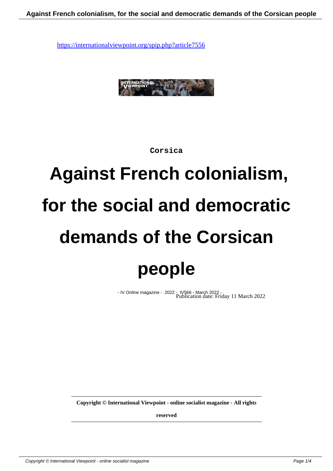

**Corsica**

## **Against French colonialism, for the social and democratic demands of the Corsican people**

- IV Online magazine - 2022 - IV566 - March 2022 - Publication date: Friday 11 March 2022

**Copyright © International Viewpoint - online socialist magazine - All rights**

**reserved**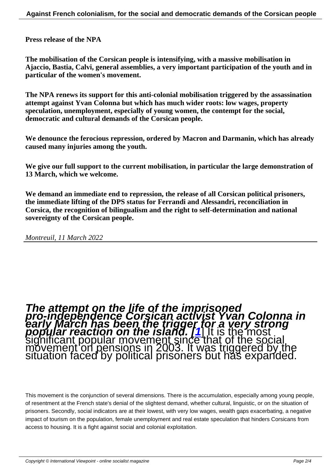**Press release of the NPA**

**The mobilisation of the Corsican people is intensifying, with a massive mobilisation in Ajaccio, Bastia, Calvi, general assemblies, a very important participation of the youth and in particular of the women's movement.**

**The NPA renews its support for this anti-colonial mobilisation triggered by the assassination attempt against Yvan Colonna but which has much wider roots: low wages, property speculation, unemployment, especially of young women, the contempt for the social, democratic and cultural demands of the Corsican people.**

**We denounce the ferocious repression, ordered by Macron and Darmanin, which has already caused many injuries among the youth.**

**We give our full support to the current mobilisation, in particular the large demonstration of 13 March, which we welcome.**

**We demand an immediate end to repression, the release of all Corsican political prisoners, the immediate lifting of the DPS status for Ferrandi and Alessandri, reconciliation in Corsica, the recognition of bilingualism and the right to self-determination and national sovereignty of the Corsican people.**

*Montreuil, 11 March 2022*

## The attempt on the life of the imprisoned<br>pro-independence Co[rs](#nb1)ican activist Yvan Colonna in<br>early March has been the trigger for a very strong<br>popular reaction on the island. [1] It is the most<br>significant popular movemen

This movement is the conjunction of several dimensions. There is the accumulation, especially among young people, of resentment at the French state's denial of the slightest demand, whether cultural, linguistic, or on the situation of prisoners. Secondly, social indicators are at their lowest, with very low wages, wealth gaps exacerbating, a negative impact of tourism on the population, female unemployment and real estate speculation that hinders Corsicans from access to housing. It is a fight against social and colonial exploitation.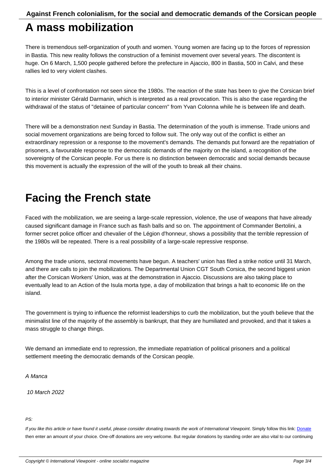## **A mass mobilization**

There is tremendous self-organization of youth and women. Young women are facing up to the forces of repression in Bastia. This new reality follows the construction of a feminist movement over several years. The discontent is huge. On 6 March, 1,500 people gathered before the prefecture in Ajaccio, 800 in Bastia, 500 in Calvi, and these rallies led to very violent clashes.

This is a level of confrontation not seen since the 1980s. The reaction of the state has been to give the Corsican brief to interior minister Gérald Darmanin, which is interpreted as a real provocation. This is also the case regarding the withdrawal of the status of "detainee of particular concern" from Yvan Colonna while he is between life and death.

There will be a demonstration next Sunday in Bastia. The determination of the youth is immense. Trade unions and social movement organizations are being forced to follow suit. The only way out of the conflict is either an extraordinary repression or a response to the movement's demands. The demands put forward are the repatriation of prisoners, a favourable response to the democratic demands of the majority on the island, a recognition of the sovereignty of the Corsican people. For us there is no distinction between democratic and social demands because this movement is actually the expression of the will of the youth to break all their chains.

## **Facing the French state**

Faced with the mobilization, we are seeing a large-scale repression, violence, the use of weapons that have already caused significant damage in France such as flash balls and so on. The appointment of Commander Bertolini, a former secret police officer and chevalier of the Légion d'honneur, shows a possibility that the terrible repression of the 1980s will be repeated. There is a real possibility of a large-scale repressive response.

Among the trade unions, sectoral movements have begun. A teachers' union has filed a strike notice until 31 March, and there are calls to join the mobilizations. The Departmental Union CGT South Corsica, the second biggest union after the Corsican Workers' Union, was at the demonstration in Ajaccio. Discussions are also taking place to eventually lead to an Action of the Isula morta type, a day of mobilization that brings a halt to economic life on the island.

The government is trying to influence the reformist leaderships to curb the mobilization, but the youth believe that the minimalist line of the majority of the assembly is bankrupt, that they are humiliated and provoked, and that it takes a mass struggle to change things.

We demand an immediate end to repression, the immediate repatriation of political prisoners and a political settlement meeting the democratic demands of the Corsican people.

A Manca

10 March 2022

PS:

If you like this article or have found it useful, please consider donating towards the work of International Viewpoint. Simply follow this link: Donate then enter an amount of your choice. One-off donations are very welcome. But regular donations by standing order are also vital to our continuing